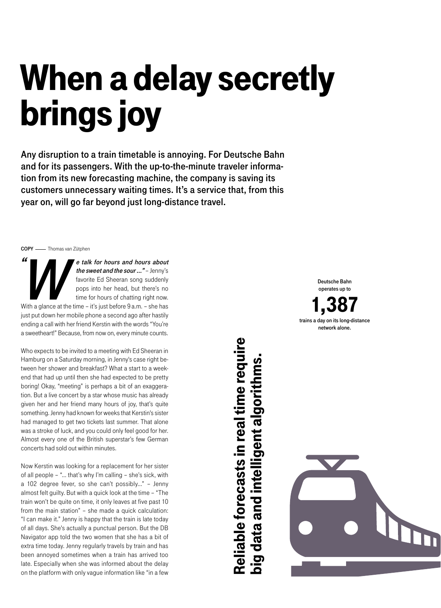## When a delay secretly brings joy

Any disruption to a train timetable is annoying. For Deutsche Bahn and for its passengers. With the up-to-the-minute traveler information from its new forecasting machine, the company is saving its customers unnecessary waiting times. It's a service that, from this year on, will go far beyond just long-distance travel.

COPY - Thomas van Zütphen

"

e talk for hours and hours about<br>the sweet and the sour..." – Jenny's<br>favorite Ed Sheeran song suddenly<br>pops into her head, but there's no<br>time for hours of chatting right now. e talk for hours and hours about the sweet and the sour ..." - Jenny's favorite Ed Sheeran song suddenly pops into her head, but there's no time for hours of chatting right now. With a glance at the time – it's just before 9 a.m. – she has just put down her mobile phone a second ago after hastily

ending a call with her friend Kerstin with the words "You're a sweetheart!" Because, from now on, every minute counts.

Who expects to be invited to a meeting with Ed Sheeran in Hamburg on a Saturday morning, in Jenny's case right between her shower and breakfast? What a start to a weekend that had up until then she had expected to be pretty boring! Okay, "meeting" is perhaps a bit of an exaggeration. But a live concert by a star whose music has already given her and her friend many hours of joy, that's quite something. Jenny had known for weeks that Kerstin's sister had managed to get two tickets last summer. That alone was a stroke of luck, and you could only feel good for her. Almost every one of the British superstar's few German concerts had sold out within minutes.

Now Kerstin was looking for a replacement for her sister of all people – "... that's why I'm calling – she's sick, with a 102 degree fever, so she can't possibly..." – Jenny almost felt guilty. But with a quick look at the time – "The train won't be quite on time, it only leaves at five past 10 from the main station" – she made a quick calculation: "I can make it." Jenny is happy that the train is late today of all days. She's actually a punctual person. But the DB Navigator app told the two women that she has a bit of extra time today. Jenny regularly travels by train and has been annoyed sometimes when a train has arrived too late. Especially when she was informed about the delay on the platform with only vague information like "in a few Reliable forecasts in real time require Reliable forecasts in real time require big data and intelligent algorithms. big data and intelligent algorithms



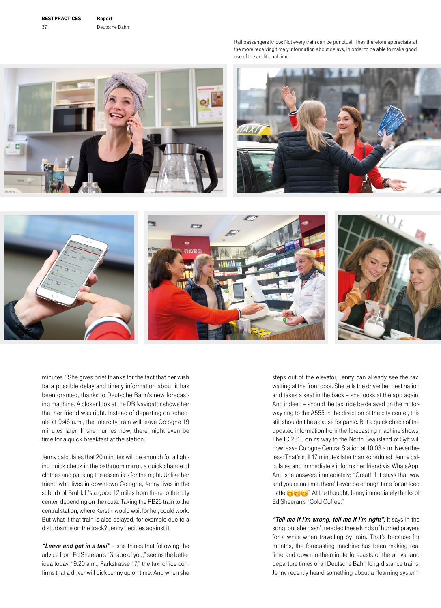Rail passengers know: Not every train can be punctual. They therefore appreciate all the more receiving timely information about delays, in order to be able to make good use of the additional time.







minutes." She gives brief thanks for the fact that her wish for a possible delay and timely information about it has been granted, thanks to Deutsche Bahn's new forecasting machine. A closer look at the DB Navigator shows her that her friend was right. Instead of departing on schedule at 9:46 a.m., the Intercity train will leave Cologne 19 minutes later. If she hurries now, there might even be time for a quick breakfast at the station.

Jenny calculates that 20 minutes will be enough for a lighting quick check in the bathroom mirror, a quick change of clothes and packing the essentials for the night. Unlike her friend who lives in downtown Cologne, Jenny lives in the suburb of Brühl. It's a good 12 miles from there to the city center, depending on the route. Taking the RB26 train to the central station, where Kerstin would wait for her, could work. But what if that train is also delayed, for example due to a disturbance on the track? Jenny decides against it.

"Leave and get in a taxi" - she thinks that following the advice from Ed Sheeran's "Shape of you," seems the better idea today. "9:20 a.m., Parkstrasse 17," the taxi office confirms that a driver will pick Jenny up on time. And when she

steps out of the elevator, Jenny can already see the taxi waiting at the front door. She tells the driver her destination and takes a seat in the back – she looks at the app again. And indeed – should the taxi ride be delayed on the motorway ring to the A555 in the direction of the city center, this still shouldn't be a cause for panic. But a quick check of the updated information from the forecasting machine shows: The IC 2310 on its way to the North Sea island of Sylt will now leave Cologne Central Station at 10:03 a.m. Nevertheless: That's still 17 minutes later than scheduled, Jenny calculates and immediately informs her friend via WhatsApp. And she answers immediately: "Great! If it stays that way and you're on time, there'll even be enough time for an Iced Latte  $\bigcirc \bigcirc \bigcirc$ . At the thought, Jenny immediately thinks of Ed Sheeran's "Cold Coffee."

"Tell me if I'm wrong, tell me if I'm right", it says in the song, but she hasn't needed these kinds of hurried prayers for a while when travelling by train. That's because for months, the forecasting machine has been making real time and down-to-the-minute forecasts of the arrival and departure times of all Deutsche Bahn long-distance trains. Jenny recently heard something about a "learning system"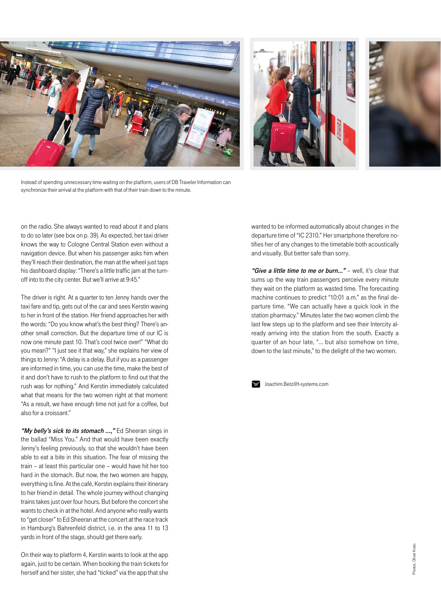





Instead of spending unnecessary time waiting on the platform, users of DB Traveler Information can synchronize their arrival at the platform with that of their train down to the minute.

on the radio. She always wanted to read about it and plans to do so later (see box on p. 39). As expected, her taxi driver knows the way to Cologne Central Station even without a navigation device. But when his passenger asks him when they'll reach their destination, the man at the wheel just taps his dashboard display: "There's a little traffic jam at the turnoff into to the city center. But we'll arrive at 9:45."

The driver is right. At a quarter to ten Jenny hands over the taxi fare and tip, gets out of the car and sees Kerstin waving to her in front of the station. Her friend approaches her with the words: "Do you know what's the best thing? There's another small correction. But the departure time of our IC is now one minute past 10. That's cool twice over!" "What do you mean?" "I just see it that way," she explains her view of things to Jenny: "A delay is a delay. But if you as a passenger are informed in time, you can use the time, make the best of it and don't have to rush to the platform to find out that the rush was for nothing." And Kerstin immediately calculated what that means for the two women right at that moment: "As a result, we have enough time not just for a coffee, but also for a croissant."

"My belly's sick to its stomach ...," Ed Sheeran sings in the ballad "Miss You." And that would have been exactly Jenny's feeling previously, so that she wouldn't have been able to eat a bite in this situation. The fear of missing the train – at least this particular one – would have hit her too hard in the stomach. But now, the two women are happy, everything is fine. At the café, Kerstin explains their itinerary to her friend in detail. The whole journey without changing trains takes just over four hours. But before the concert she wants to check in at the hotel. And anyone who really wants to "get closer" to Ed Sheeran at the concert at the race track in Hamburg's Bahrenfeld district, i.e. in the area 11 to 13 yards in front of the stage, should get there early.

On their way to platform 4, Kerstin wants to look at the app again, just to be certain. When booking the train tickets for herself and her sister, she had "ticked" via the app that she wanted to be informed automatically about changes in the departure time of "IC 2310." Her smartphone therefore notifies her of any changes to the timetable both acoustically and visually. But better safe than sorry.

"Give a little time to me or burn..." - well, it's clear that sums up the way train passengers perceive every minute they wait on the platform as wasted time. The forecasting machine continues to predict "10:01 a.m." as the final departure time. "We can actually have a quick look in the station pharmacy." Minutes later the two women climb the last few steps up to the platform and see their Intercity already arriving into the station from the south. Exactly a quarter of an hour late, "... but also somehow on time, down to the last minute," to the delight of the two women.



Joachim.Betz@t-systems.com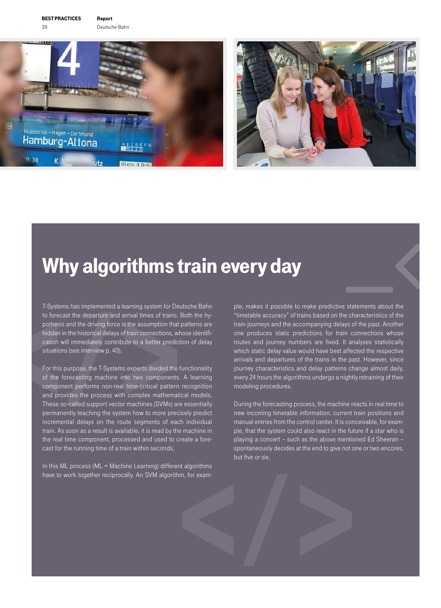

### Why algorithms train every day

T-Systems has implemented a learning system for Deutsche Bahn to forecast the departure and arrival times of trains. Both the hypothesis and the driving force is the assumption that patterns are hidden in the historical delays of train connections, whose identification will immediately contribute to a better prediction of delay situations (see interview p. 40).

For this purpose, the T-Systems experts divided the functionality of the forecasting machine into two components. A learning component performs non-real time-critical pattern recognition and provides the process with complex mathematical models. These so-called support vector machines (SVMs) are essentially permanently teaching the system how to more precisely predict incremental delays on the route segments of each individual train. As soon as a result is available, it is read by the machine in the real time component, processed and used to create a forecast for the running time of a train within seconds.

In this ML process (ML = Machine Learning) different algorithms have to work together reciprocally. An SVM algorithm, for exam

ple, makes it possible to make predictive statements about the "timetable accuracy" of trains based on the characteristics of the train journeys and the accompanying delays of the past. Another one produces static predictions for train connections whose routes and journey numbers are fixed. It analyses statistically which static delay value would have best affected the respective arrivals and departures of the trains in the past. However, since journey characteristics and delay patterns change almost daily, every 24 hours the algorithms undergo a nightly retraining of their modeling procedures.

During the forecasting process, the machine reacts in real time to new incoming timetable information, current train positions and manual entries from the control center. It is conceivable, for example, that the system could also react in the future if a star who is playing a concert – such as the above mentioned Ed Sheeran – spontaneously decides at the end to give not one or two encores, but five or six.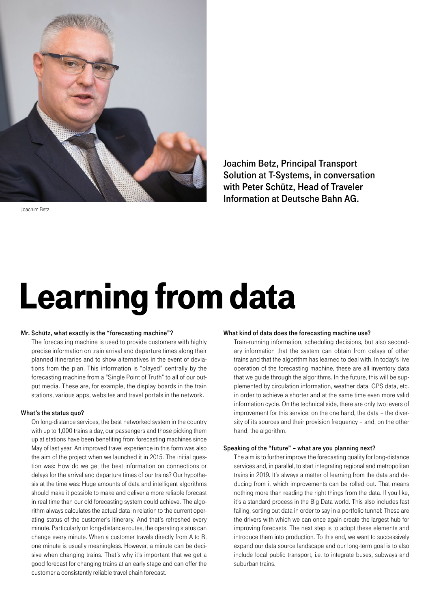

Joachim Betz, Principal Transport Solution at T-Systems, in conversation with Peter Schütz, Head of Traveler Information at Deutsche Bahn AG.

Joachim Betz

# Learning from data

#### Mr. Schütz, what exactly is the "forecasting machine"?

The forecasting machine is used to provide customers with highly precise information on train arrival and departure times along their planned itineraries and to show alternatives in the event of deviations from the plan. This information is "played" centrally by the forecasting machine from a "Single Point of Truth" to all of our output media. These are, for example, the display boards in the train stations, various apps, websites and travel portals in the network.

#### What's the status quo?

On long-distance services, the best networked system in the country with up to 1,000 trains a day, our passengers and those picking them up at stations have been benefiting from forecasting machines since May of last year. An improved travel experience in this form was also the aim of the project when we launched it in 2015. The initial question was: How do we get the best information on connections or delays for the arrival and departure times of our trains? Our hypothesis at the time was: Huge amounts of data and intelligent algorithms should make it possible to make and deliver a more reliable forecast in real time than our old forecasting system could achieve. The algorithm always calculates the actual data in relation to the current operating status of the customer's itinerary. And that's refreshed every minute. Particularly on long-distance routes, the operating status can change every minute. When a customer travels directly from A to B, one minute is usually meaningless. However, a minute can be decisive when changing trains. That's why it's important that we get a good forecast for changing trains at an early stage and can offer the customer a consistently reliable travel chain forecast.

#### What kind of data does the forecasting machine use?

Train-running information, scheduling decisions, but also secondary information that the system can obtain from delays of other trains and that the algorithm has learned to deal with. In today's live operation of the forecasting machine, these are all inventory data that we guide through the algorithms. In the future, this will be supplemented by circulation information, weather data, GPS data, etc. in order to achieve a shorter and at the same time even more valid information cycle. On the technical side, there are only two levers of improvement for this service: on the one hand, the data – the diversity of its sources and their provision frequency – and, on the other hand, the algorithm.

#### Speaking of the "future" – what are you planning next?

The aim is to further improve the forecasting quality for long-distance services and, in parallel, to start integrating regional and metropolitan trains in 2019. It's always a matter of learning from the data and deducing from it which improvements can be rolled out. That means nothing more than reading the right things from the data. If you like, it's a standard process in the Big Data world. This also includes fast failing, sorting out data in order to say in a portfolio tunnel: These are the drivers with which we can once again create the largest hub for improving forecasts. The next step is to adopt these elements and introduce them into production. To this end, we want to successively expand our data source landscape and our long-term goal is to also include local public transport, i.e. to integrate buses, subways and suburban trains.